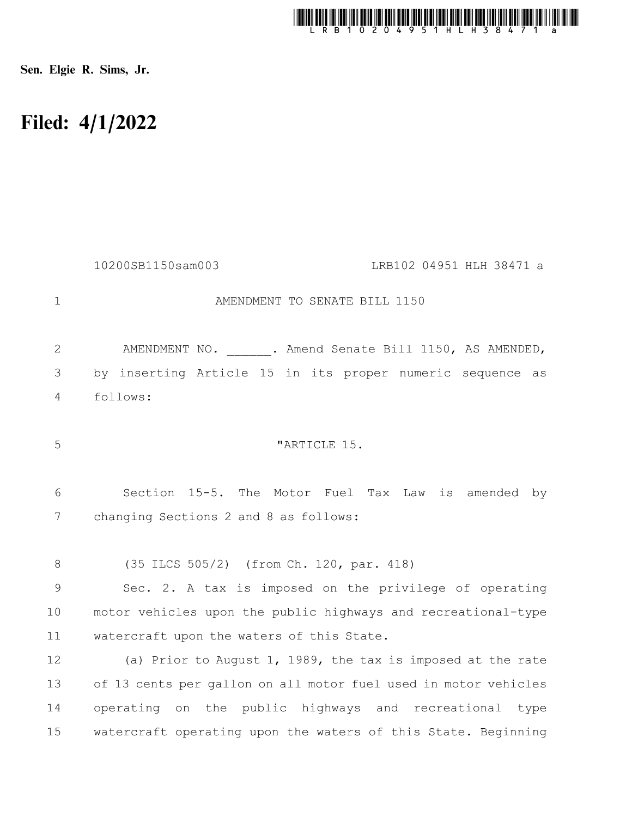

Sen. Elgie R. Sims, Jr.

## Filed: 4/1/2022

|                | 10200SB1150sam003<br>LRB102 04951 HLH 38471 a                   |
|----------------|-----------------------------------------------------------------|
| $\mathbf{1}$   | AMENDMENT TO SENATE BILL 1150                                   |
| $\overline{2}$ | AMENDMENT NO. . Amend Senate Bill 1150, AS AMENDED,             |
| 3              | by inserting Article 15 in its proper numeric sequence as       |
| $\overline{4}$ | follows:                                                        |
| 5              | "ARTICLE 15.                                                    |
| 6              | Section 15-5. The<br>Motor Fuel Tax<br>is amended by<br>Law     |
| 7              | changing Sections 2 and 8 as follows:                           |
| 8              | (35 ILCS 505/2) (from Ch. 120, par. 418)                        |
| 9              | Sec. 2. A tax is imposed on the privilege of operating          |
| 10             | motor vehicles upon the public highways and recreational-type   |
| 11             | watercraft upon the waters of this State.                       |
| 12             | (a) Prior to August 1, 1989, the tax is imposed at the rate     |
| 13             | of 13 cents per gallon on all motor fuel used in motor vehicles |
| 14             | operating on the public highways and recreational type          |
| 15             | watercraft operating upon the waters of this State. Beginning   |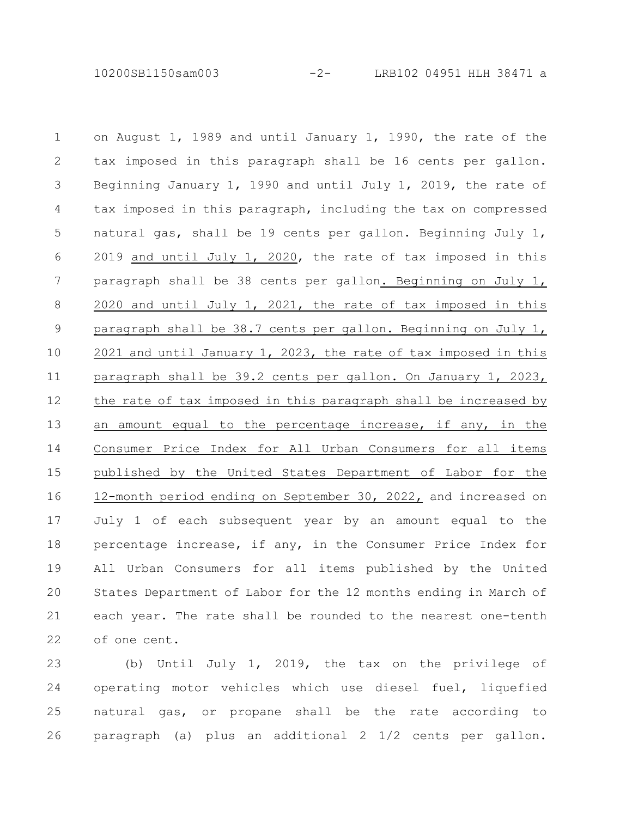10200SB1150sam003 -2- LRB102 04951 HLH 38471 a

on August 1, 1989 and until January 1, 1990, the rate of the tax imposed in this paragraph shall be 16 cents per gallon. Beginning January 1, 1990 and until July 1, 2019, the rate of tax imposed in this paragraph, including the tax on compressed natural gas, shall be 19 cents per gallon. Beginning July 1, 2019 and until July 1, 2020, the rate of tax imposed in this paragraph shall be 38 cents per gallon. Beginning on July 1, 2020 and until July 1, 2021, the rate of tax imposed in this paragraph shall be 38.7 cents per gallon. Beginning on July 1, 2021 and until January 1, 2023, the rate of tax imposed in this paragraph shall be 39.2 cents per gallon. On January 1, 2023, the rate of tax imposed in this paragraph shall be increased by an amount equal to the percentage increase, if any, in the Consumer Price Index for All Urban Consumers for all items published by the United States Department of Labor for the 12-month period ending on September 30, 2022, and increased on July 1 of each subsequent year by an amount equal to the percentage increase, if any, in the Consumer Price Index for All Urban Consumers for all items published by the United States Department of Labor for the 12 months ending in March of each year. The rate shall be rounded to the nearest one-tenth of one cent. 1 2 3 4 5 6 7 8 9 10 11 12 13 14 15 16 17 18 19 20 21 22

(b) Until July 1, 2019, the tax on the privilege of operating motor vehicles which use diesel fuel, liquefied natural gas, or propane shall be the rate according to paragraph (a) plus an additional 2 1/2 cents per gallon. 23 24 25 26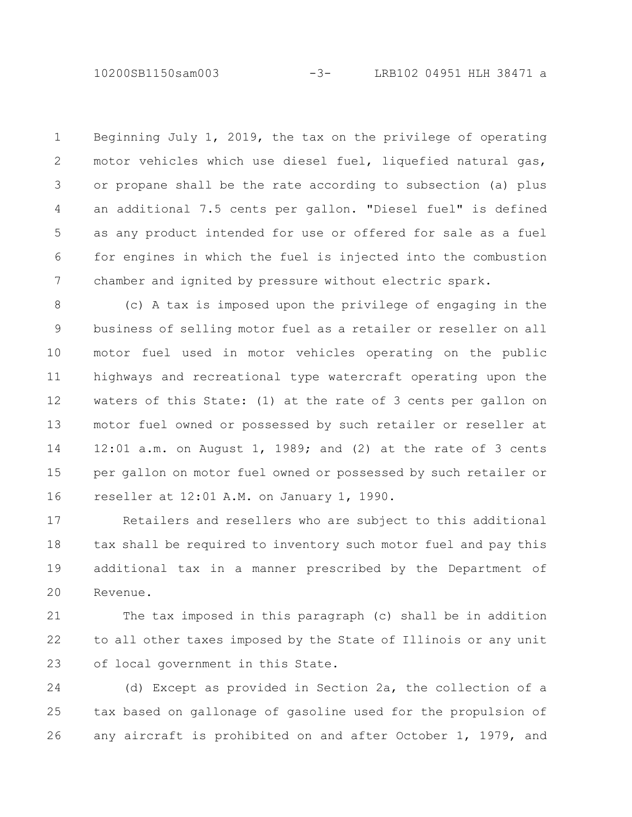10200SB1150sam003 -3- LRB102 04951 HLH 38471 a

Beginning July 1, 2019, the tax on the privilege of operating motor vehicles which use diesel fuel, liquefied natural gas, or propane shall be the rate according to subsection (a) plus an additional 7.5 cents per gallon. "Diesel fuel" is defined as any product intended for use or offered for sale as a fuel for engines in which the fuel is injected into the combustion chamber and ignited by pressure without electric spark. 1 2 3 4 5 6 7

(c) A tax is imposed upon the privilege of engaging in the business of selling motor fuel as a retailer or reseller on all motor fuel used in motor vehicles operating on the public highways and recreational type watercraft operating upon the waters of this State: (1) at the rate of 3 cents per gallon on motor fuel owned or possessed by such retailer or reseller at 12:01 a.m. on August 1, 1989; and (2) at the rate of 3 cents per gallon on motor fuel owned or possessed by such retailer or reseller at 12:01 A.M. on January 1, 1990. 8 9 10 11 12 13 14 15 16

Retailers and resellers who are subject to this additional tax shall be required to inventory such motor fuel and pay this additional tax in a manner prescribed by the Department of Revenue. 17 18 19 20

The tax imposed in this paragraph (c) shall be in addition to all other taxes imposed by the State of Illinois or any unit of local government in this State. 21 22 23

(d) Except as provided in Section 2a, the collection of a tax based on gallonage of gasoline used for the propulsion of any aircraft is prohibited on and after October 1, 1979, and 24 25 26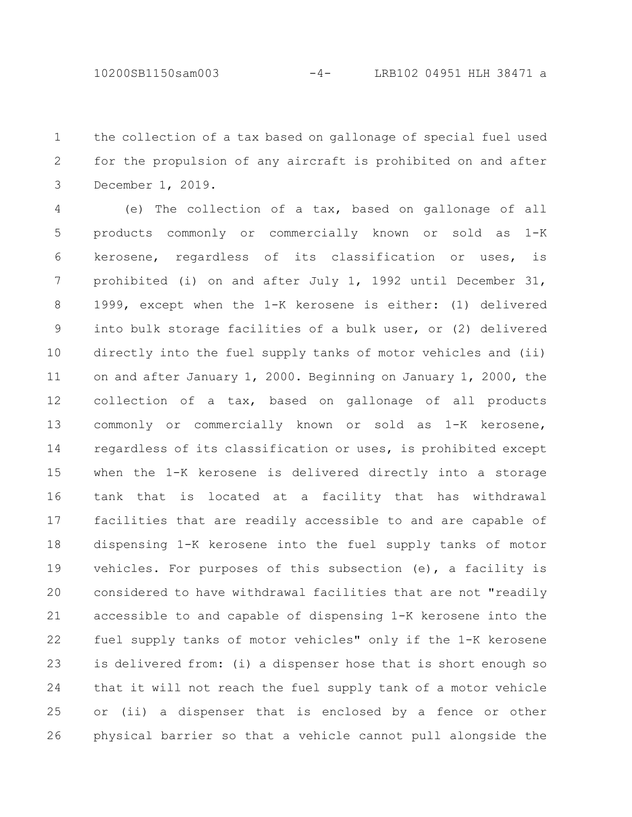the collection of a tax based on gallonage of special fuel used for the propulsion of any aircraft is prohibited on and after December 1, 2019. 1 2 3

(e) The collection of a tax, based on gallonage of all products commonly or commercially known or sold as 1-K kerosene, regardless of its classification or uses, is prohibited (i) on and after July 1, 1992 until December 31, 1999, except when the 1-K kerosene is either: (1) delivered into bulk storage facilities of a bulk user, or (2) delivered directly into the fuel supply tanks of motor vehicles and (ii) on and after January 1, 2000. Beginning on January 1, 2000, the collection of a tax, based on gallonage of all products commonly or commercially known or sold as 1-K kerosene, regardless of its classification or uses, is prohibited except when the 1-K kerosene is delivered directly into a storage tank that is located at a facility that has withdrawal facilities that are readily accessible to and are capable of dispensing 1-K kerosene into the fuel supply tanks of motor vehicles. For purposes of this subsection (e), a facility is considered to have withdrawal facilities that are not "readily accessible to and capable of dispensing 1-K kerosene into the fuel supply tanks of motor vehicles" only if the 1-K kerosene is delivered from: (i) a dispenser hose that is short enough so that it will not reach the fuel supply tank of a motor vehicle or (ii) a dispenser that is enclosed by a fence or other physical barrier so that a vehicle cannot pull alongside the 4 5 6 7 8 9 10 11 12 13 14 15 16 17 18 19 20 21 22 23 24 25 26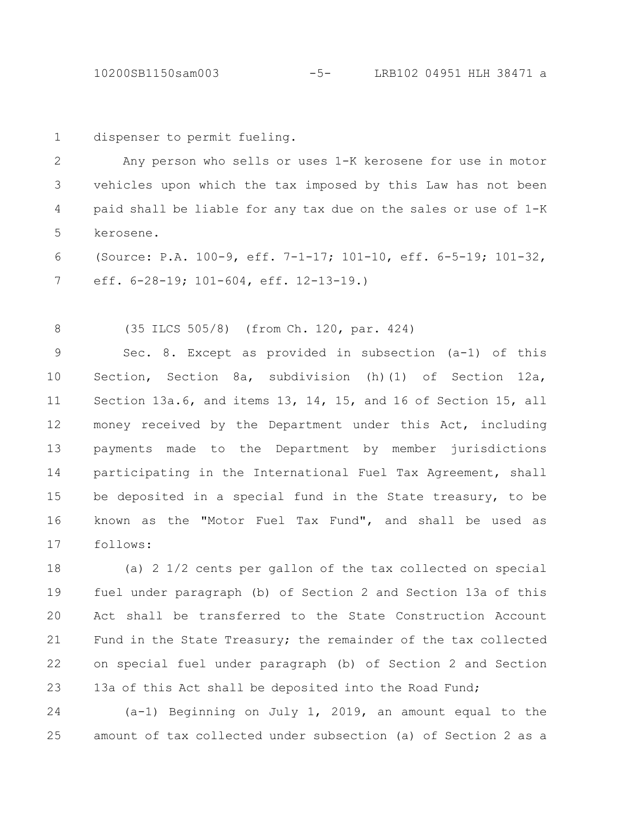```
dispenser to permit fueling.
1
```
Any person who sells or uses 1-K kerosene for use in motor vehicles upon which the tax imposed by this Law has not been paid shall be liable for any tax due on the sales or use of 1-K kerosene. 2 3 4 5

(Source: P.A. 100-9, eff. 7-1-17; 101-10, eff. 6-5-19; 101-32, eff. 6-28-19; 101-604, eff. 12-13-19.) 6 7

(35 ILCS 505/8) (from Ch. 120, par. 424) 8

Sec. 8. Except as provided in subsection (a-1) of this Section, Section 8a, subdivision (h)(1) of Section 12a, Section 13a.6, and items 13, 14, 15, and 16 of Section 15, all money received by the Department under this Act, including payments made to the Department by member jurisdictions participating in the International Fuel Tax Agreement, shall be deposited in a special fund in the State treasury, to be known as the "Motor Fuel Tax Fund", and shall be used as follows: 9 10 11 12 13 14 15 16 17

(a) 2 1/2 cents per gallon of the tax collected on special fuel under paragraph (b) of Section 2 and Section 13a of this Act shall be transferred to the State Construction Account Fund in the State Treasury; the remainder of the tax collected on special fuel under paragraph (b) of Section 2 and Section 13a of this Act shall be deposited into the Road Fund; 18 19 20 21 22 23

(a-1) Beginning on July 1, 2019, an amount equal to the amount of tax collected under subsection (a) of Section 2 as a 24 25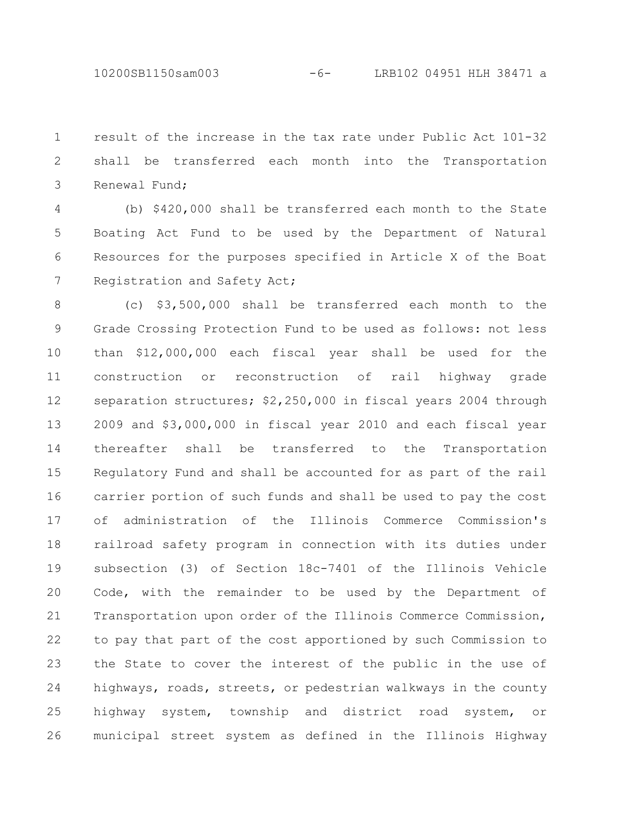10200SB1150sam003 -6- LRB102 04951 HLH 38471 a

result of the increase in the tax rate under Public Act 101-32 shall be transferred each month into the Transportation Renewal Fund; 1 2 3

(b) \$420,000 shall be transferred each month to the State Boating Act Fund to be used by the Department of Natural Resources for the purposes specified in Article X of the Boat Registration and Safety Act; 4 5 6 7

(c) \$3,500,000 shall be transferred each month to the Grade Crossing Protection Fund to be used as follows: not less than \$12,000,000 each fiscal year shall be used for the construction or reconstruction of rail highway grade separation structures; \$2,250,000 in fiscal years 2004 through 2009 and \$3,000,000 in fiscal year 2010 and each fiscal year thereafter shall be transferred to the Transportation Regulatory Fund and shall be accounted for as part of the rail carrier portion of such funds and shall be used to pay the cost of administration of the Illinois Commerce Commission's railroad safety program in connection with its duties under subsection (3) of Section 18c-7401 of the Illinois Vehicle Code, with the remainder to be used by the Department of Transportation upon order of the Illinois Commerce Commission, to pay that part of the cost apportioned by such Commission to the State to cover the interest of the public in the use of highways, roads, streets, or pedestrian walkways in the county highway system, township and district road system, or municipal street system as defined in the Illinois Highway 8 9 10 11 12 13 14 15 16 17 18 19 20 21 22 23 24 25 26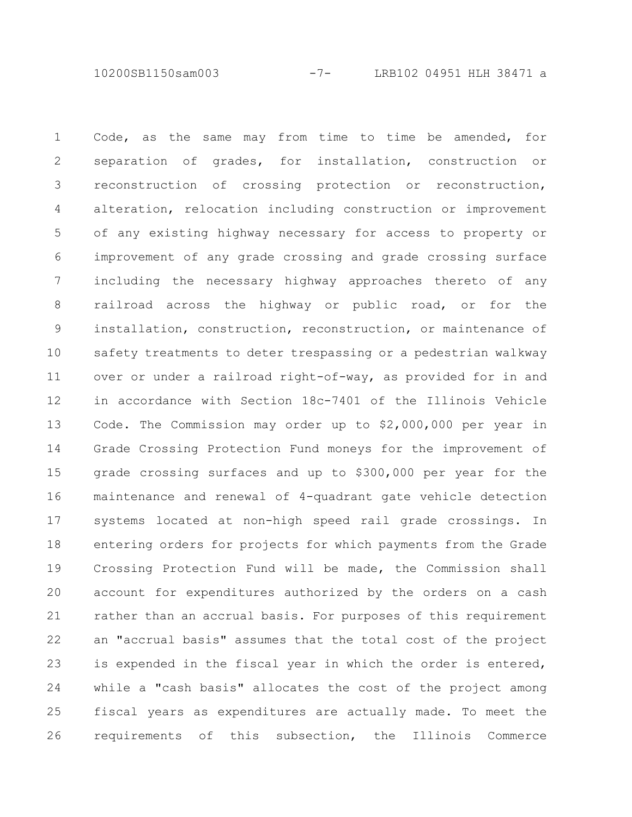10200SB1150sam003 -7- LRB102 04951 HLH 38471 a

Code, as the same may from time to time be amended, for separation of grades, for installation, construction or reconstruction of crossing protection or reconstruction, alteration, relocation including construction or improvement of any existing highway necessary for access to property or improvement of any grade crossing and grade crossing surface including the necessary highway approaches thereto of any railroad across the highway or public road, or for the installation, construction, reconstruction, or maintenance of safety treatments to deter trespassing or a pedestrian walkway over or under a railroad right-of-way, as provided for in and in accordance with Section 18c-7401 of the Illinois Vehicle Code. The Commission may order up to \$2,000,000 per year in Grade Crossing Protection Fund moneys for the improvement of grade crossing surfaces and up to \$300,000 per year for the maintenance and renewal of 4-quadrant gate vehicle detection systems located at non-high speed rail grade crossings. In entering orders for projects for which payments from the Grade Crossing Protection Fund will be made, the Commission shall account for expenditures authorized by the orders on a cash rather than an accrual basis. For purposes of this requirement an "accrual basis" assumes that the total cost of the project is expended in the fiscal year in which the order is entered, while a "cash basis" allocates the cost of the project among fiscal years as expenditures are actually made. To meet the requirements of this subsection, the Illinois Commerce 1 2 3 4 5 6 7 8 9 10 11 12 13 14 15 16 17 18 19 20 21 22 23 24 25 26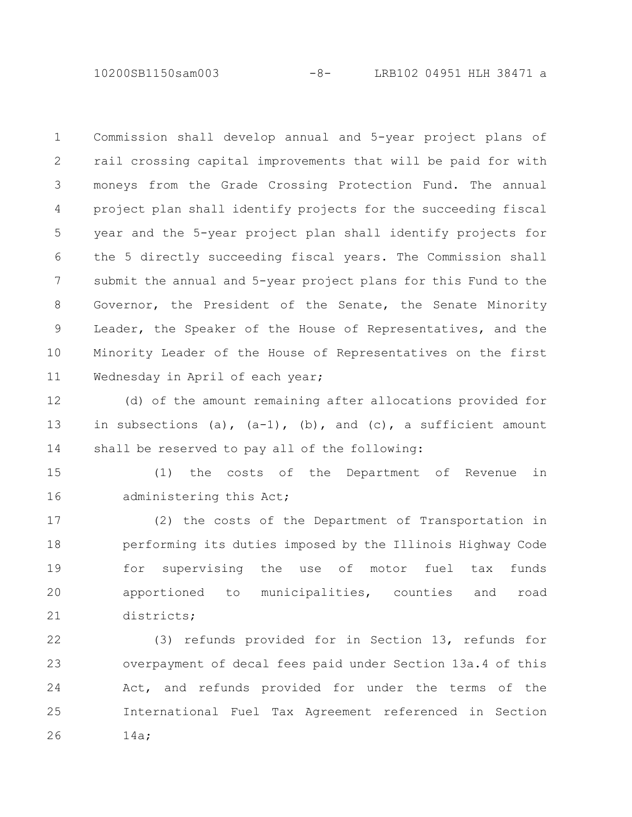10200SB1150sam003 -8- LRB102 04951 HLH 38471 a

Commission shall develop annual and 5-year project plans of rail crossing capital improvements that will be paid for with moneys from the Grade Crossing Protection Fund. The annual project plan shall identify projects for the succeeding fiscal year and the 5-year project plan shall identify projects for the 5 directly succeeding fiscal years. The Commission shall submit the annual and 5-year project plans for this Fund to the Governor, the President of the Senate, the Senate Minority Leader, the Speaker of the House of Representatives, and the Minority Leader of the House of Representatives on the first Wednesday in April of each year; 1 2 3 4 5 6 7 8 9 10 11

(d) of the amount remaining after allocations provided for in subsections (a),  $(a-1)$ , (b), and (c), a sufficient amount shall be reserved to pay all of the following: 12 13 14

(1) the costs of the Department of Revenue in administering this Act; 15 16

(2) the costs of the Department of Transportation in performing its duties imposed by the Illinois Highway Code for supervising the use of motor fuel tax funds apportioned to municipalities, counties and road districts; 17 18 19 20 21

(3) refunds provided for in Section 13, refunds for overpayment of decal fees paid under Section 13a.4 of this Act, and refunds provided for under the terms of the International Fuel Tax Agreement referenced in Section 14a; 22 23 24 25 26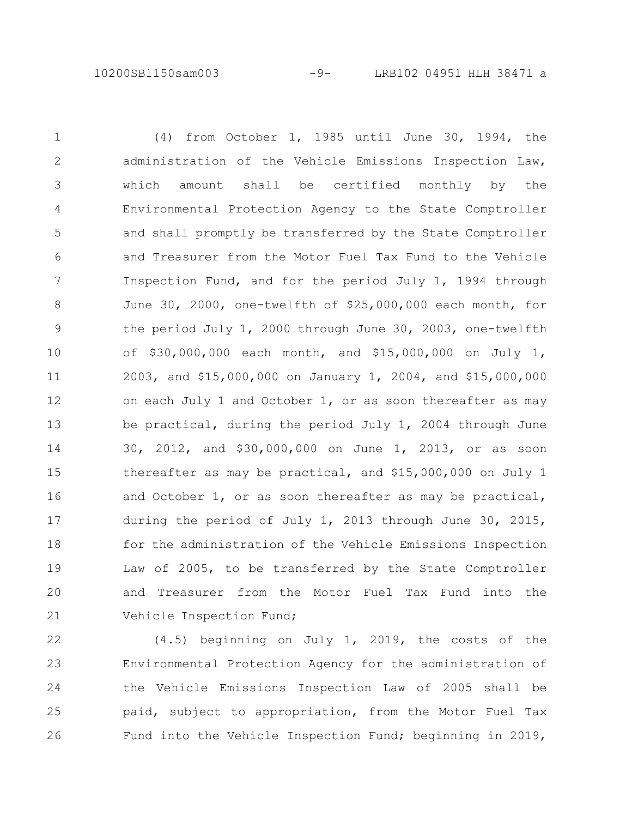## 10200SB1150sam003 -9- LRB102 04951 HLH 38471 a

(4) from October 1, 1985 until June 30, 1994, the administration of the Vehicle Emissions Inspection Law, which amount shall be certified monthly by the Environmental Protection Agency to the State Comptroller and shall promptly be transferred by the State Comptroller and Treasurer from the Motor Fuel Tax Fund to the Vehicle Inspection Fund, and for the period July 1, 1994 through June 30, 2000, one-twelfth of \$25,000,000 each month, for the period July 1, 2000 through June 30, 2003, one-twelfth of \$30,000,000 each month, and \$15,000,000 on July 1, 2003, and \$15,000,000 on January 1, 2004, and \$15,000,000 on each July 1 and October 1, or as soon thereafter as may be practical, during the period July 1, 2004 through June 30, 2012, and \$30,000,000 on June 1, 2013, or as soon thereafter as may be practical, and \$15,000,000 on July 1 and October 1, or as soon thereafter as may be practical, during the period of July 1, 2013 through June 30, 2015, for the administration of the Vehicle Emissions Inspection Law of 2005, to be transferred by the State Comptroller and Treasurer from the Motor Fuel Tax Fund into the Vehicle Inspection Fund; 1 2 3 4 5 6 7 8 9 10 11 12 13 14 15 16 17 18 19 20 21

(4.5) beginning on July 1, 2019, the costs of the Environmental Protection Agency for the administration of the Vehicle Emissions Inspection Law of 2005 shall be paid, subject to appropriation, from the Motor Fuel Tax Fund into the Vehicle Inspection Fund; beginning in 2019, 22 23 24 25 26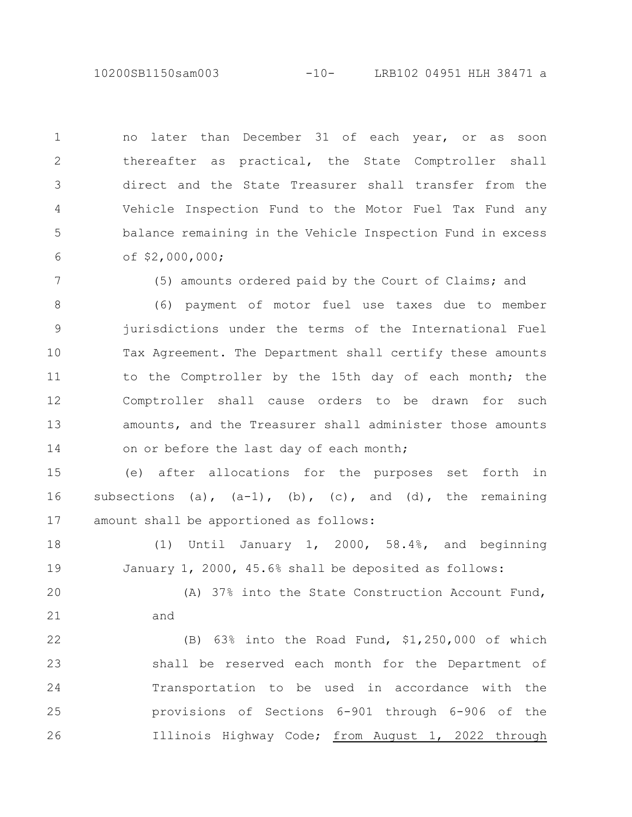10200SB1150sam003 -10- LRB102 04951 HLH 38471 a

no later than December 31 of each year, or as soon thereafter as practical, the State Comptroller shall direct and the State Treasurer shall transfer from the Vehicle Inspection Fund to the Motor Fuel Tax Fund any balance remaining in the Vehicle Inspection Fund in excess of \$2,000,000; 1 2 3 4 5 6

7

(5) amounts ordered paid by the Court of Claims; and

(6) payment of motor fuel use taxes due to member jurisdictions under the terms of the International Fuel Tax Agreement. The Department shall certify these amounts to the Comptroller by the 15th day of each month; the Comptroller shall cause orders to be drawn for such amounts, and the Treasurer shall administer those amounts on or before the last day of each month; 8 9 10 11 12 13 14

(e) after allocations for the purposes set forth in subsections (a),  $(a-1)$ , (b), (c), and (d), the remaining amount shall be apportioned as follows: 15 16 17

(1) Until January 1, 2000, 58.4%, and beginning January 1, 2000, 45.6% shall be deposited as follows: 18 19

(A) 37% into the State Construction Account Fund, and 20 21

(B) 63% into the Road Fund, \$1,250,000 of which shall be reserved each month for the Department of Transportation to be used in accordance with the provisions of Sections 6-901 through 6-906 of the Illinois Highway Code; from August 1, 2022 through 22 23 24 25 26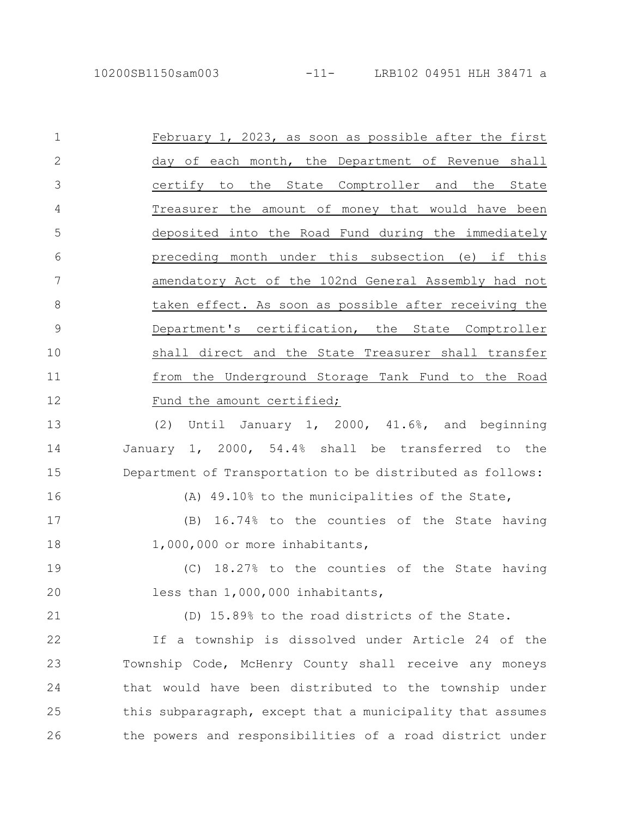16

February 1, 2023, as soon as possible after the first day of each month, the Department of Revenue shall certify to the State Comptroller and the State Treasurer the amount of money that would have been deposited into the Road Fund during the immediately preceding month under this subsection (e) if this amendatory Act of the 102nd General Assembly had not taken effect. As soon as possible after receiving the Department's certification, the State Comptroller shall direct and the State Treasurer shall transfer from the Underground Storage Tank Fund to the Road Fund the amount certified; 1 2 3 4 5 6 7 8 9 10 11 12

(2) Until January 1, 2000, 41.6%, and beginning January 1, 2000, 54.4% shall be transferred to the Department of Transportation to be distributed as follows: 13 14 15

(A) 49.10% to the municipalities of the State,

(B) 16.74% to the counties of the State having 1,000,000 or more inhabitants, 17 18

(C) 18.27% to the counties of the State having less than 1,000,000 inhabitants, 19 20

(D) 15.89% to the road districts of the State. If a township is dissolved under Article 24 of the Township Code, McHenry County shall receive any moneys that would have been distributed to the township under this subparagraph, except that a municipality that assumes the powers and responsibilities of a road district under 21 22 23 24 25 26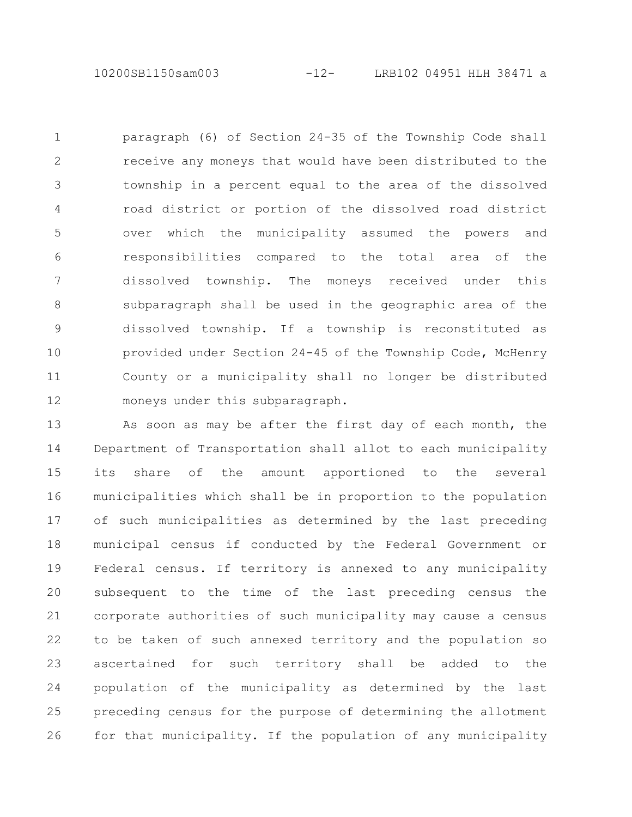10200SB1150sam003 -12- LRB102 04951 HLH 38471 a

paragraph (6) of Section 24-35 of the Township Code shall receive any moneys that would have been distributed to the township in a percent equal to the area of the dissolved road district or portion of the dissolved road district over which the municipality assumed the powers and responsibilities compared to the total area of the dissolved township. The moneys received under this subparagraph shall be used in the geographic area of the dissolved township. If a township is reconstituted as provided under Section 24-45 of the Township Code, McHenry County or a municipality shall no longer be distributed moneys under this subparagraph. 1 2 3 4 5 6 7 8 9 10 11 12

As soon as may be after the first day of each month, the Department of Transportation shall allot to each municipality its share of the amount apportioned to the several municipalities which shall be in proportion to the population of such municipalities as determined by the last preceding municipal census if conducted by the Federal Government or Federal census. If territory is annexed to any municipality subsequent to the time of the last preceding census the corporate authorities of such municipality may cause a census to be taken of such annexed territory and the population so ascertained for such territory shall be added to the population of the municipality as determined by the last preceding census for the purpose of determining the allotment for that municipality. If the population of any municipality 13 14 15 16 17 18 19 20 21 22 23 24 25 26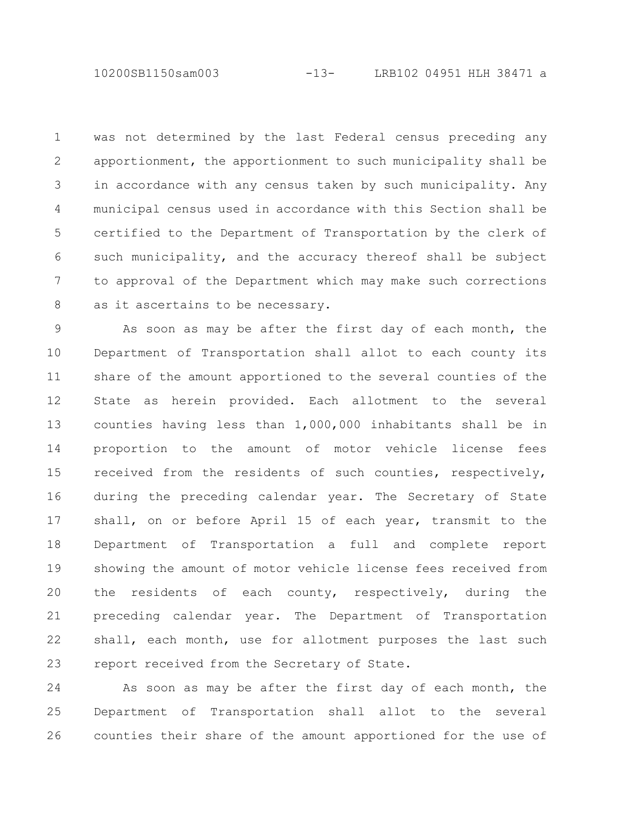10200SB1150sam003 -13- LRB102 04951 HLH 38471 a

was not determined by the last Federal census preceding any apportionment, the apportionment to such municipality shall be in accordance with any census taken by such municipality. Any municipal census used in accordance with this Section shall be certified to the Department of Transportation by the clerk of such municipality, and the accuracy thereof shall be subject to approval of the Department which may make such corrections as it ascertains to be necessary. 1 2 3 4 5 6 7 8

As soon as may be after the first day of each month, the Department of Transportation shall allot to each county its share of the amount apportioned to the several counties of the State as herein provided. Each allotment to the several counties having less than 1,000,000 inhabitants shall be in proportion to the amount of motor vehicle license fees received from the residents of such counties, respectively, during the preceding calendar year. The Secretary of State shall, on or before April 15 of each year, transmit to the Department of Transportation a full and complete report showing the amount of motor vehicle license fees received from the residents of each county, respectively, during the preceding calendar year. The Department of Transportation shall, each month, use for allotment purposes the last such report received from the Secretary of State. 9 10 11 12 13 14 15 16 17 18 19 20 21 22 23

As soon as may be after the first day of each month, the Department of Transportation shall allot to the several counties their share of the amount apportioned for the use of 24 25 26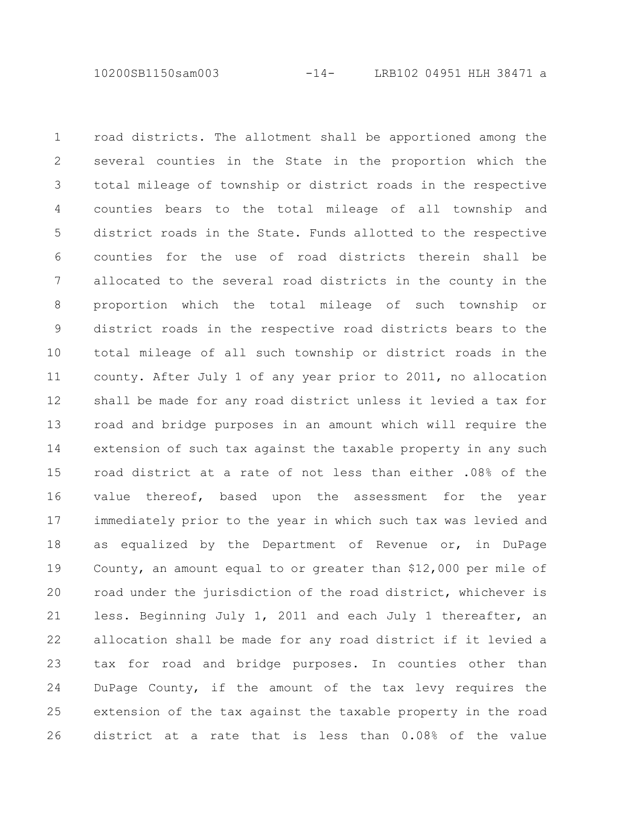10200SB1150sam003 -14- LRB102 04951 HLH 38471 a

road districts. The allotment shall be apportioned among the several counties in the State in the proportion which the total mileage of township or district roads in the respective counties bears to the total mileage of all township and district roads in the State. Funds allotted to the respective counties for the use of road districts therein shall be allocated to the several road districts in the county in the proportion which the total mileage of such township or district roads in the respective road districts bears to the total mileage of all such township or district roads in the county. After July 1 of any year prior to 2011, no allocation shall be made for any road district unless it levied a tax for road and bridge purposes in an amount which will require the extension of such tax against the taxable property in any such road district at a rate of not less than either .08% of the value thereof, based upon the assessment for the year immediately prior to the year in which such tax was levied and as equalized by the Department of Revenue or, in DuPage County, an amount equal to or greater than \$12,000 per mile of road under the jurisdiction of the road district, whichever is less. Beginning July 1, 2011 and each July 1 thereafter, an allocation shall be made for any road district if it levied a tax for road and bridge purposes. In counties other than DuPage County, if the amount of the tax levy requires the extension of the tax against the taxable property in the road district at a rate that is less than 0.08% of the value 1 2 3 4 5 6 7 8 9 10 11 12 13 14 15 16 17 18 19 20 21 22 23 24 25 26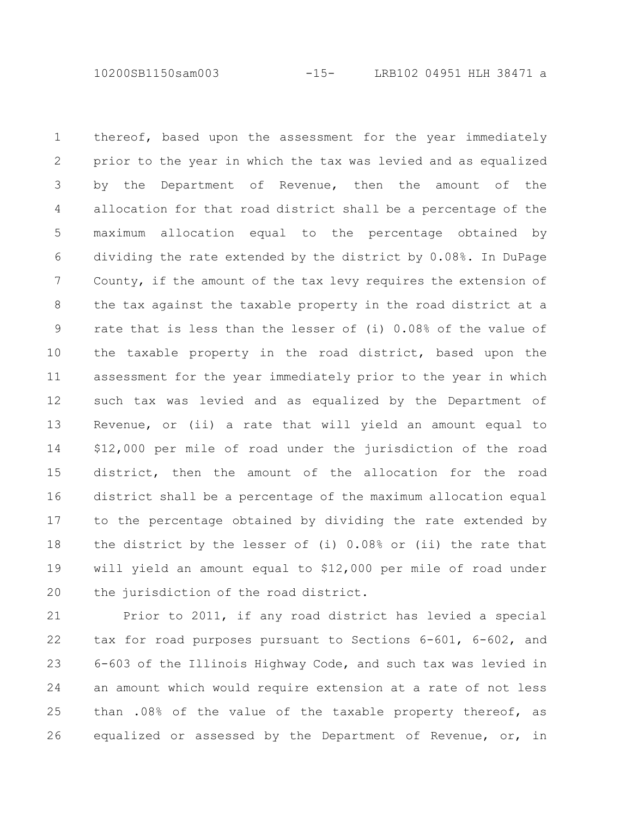10200SB1150sam003 -15- LRB102 04951 HLH 38471 a

thereof, based upon the assessment for the year immediately prior to the year in which the tax was levied and as equalized by the Department of Revenue, then the amount of the allocation for that road district shall be a percentage of the maximum allocation equal to the percentage obtained by dividing the rate extended by the district by 0.08%. In DuPage County, if the amount of the tax levy requires the extension of the tax against the taxable property in the road district at a rate that is less than the lesser of (i) 0.08% of the value of the taxable property in the road district, based upon the assessment for the year immediately prior to the year in which such tax was levied and as equalized by the Department of Revenue, or (ii) a rate that will yield an amount equal to \$12,000 per mile of road under the jurisdiction of the road district, then the amount of the allocation for the road district shall be a percentage of the maximum allocation equal to the percentage obtained by dividing the rate extended by the district by the lesser of (i) 0.08% or (ii) the rate that will yield an amount equal to \$12,000 per mile of road under the jurisdiction of the road district. 1 2 3 4 5 6 7 8 9 10 11 12 13 14 15 16 17 18 19 20

Prior to 2011, if any road district has levied a special tax for road purposes pursuant to Sections 6-601, 6-602, and 6-603 of the Illinois Highway Code, and such tax was levied in an amount which would require extension at a rate of not less than .08% of the value of the taxable property thereof, as equalized or assessed by the Department of Revenue, or, in 21 22 23 24 25 26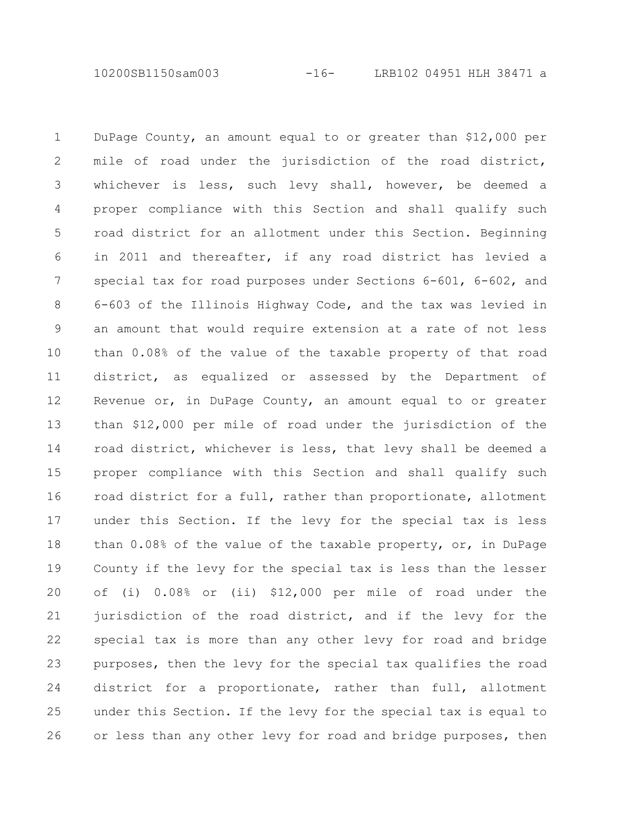10200SB1150sam003 -16- LRB102 04951 HLH 38471 a

DuPage County, an amount equal to or greater than \$12,000 per mile of road under the jurisdiction of the road district, whichever is less, such levy shall, however, be deemed a proper compliance with this Section and shall qualify such road district for an allotment under this Section. Beginning in 2011 and thereafter, if any road district has levied a special tax for road purposes under Sections 6-601, 6-602, and 6-603 of the Illinois Highway Code, and the tax was levied in an amount that would require extension at a rate of not less than 0.08% of the value of the taxable property of that road district, as equalized or assessed by the Department of Revenue or, in DuPage County, an amount equal to or greater than \$12,000 per mile of road under the jurisdiction of the road district, whichever is less, that levy shall be deemed a proper compliance with this Section and shall qualify such road district for a full, rather than proportionate, allotment under this Section. If the levy for the special tax is less than 0.08% of the value of the taxable property, or, in DuPage County if the levy for the special tax is less than the lesser of (i) 0.08% or (ii) \$12,000 per mile of road under the jurisdiction of the road district, and if the levy for the special tax is more than any other levy for road and bridge purposes, then the levy for the special tax qualifies the road district for a proportionate, rather than full, allotment under this Section. If the levy for the special tax is equal to or less than any other levy for road and bridge purposes, then 1 2 3 4 5 6 7 8 9 10 11 12 13 14 15 16 17 18 19 20 21 22 23 24 25 26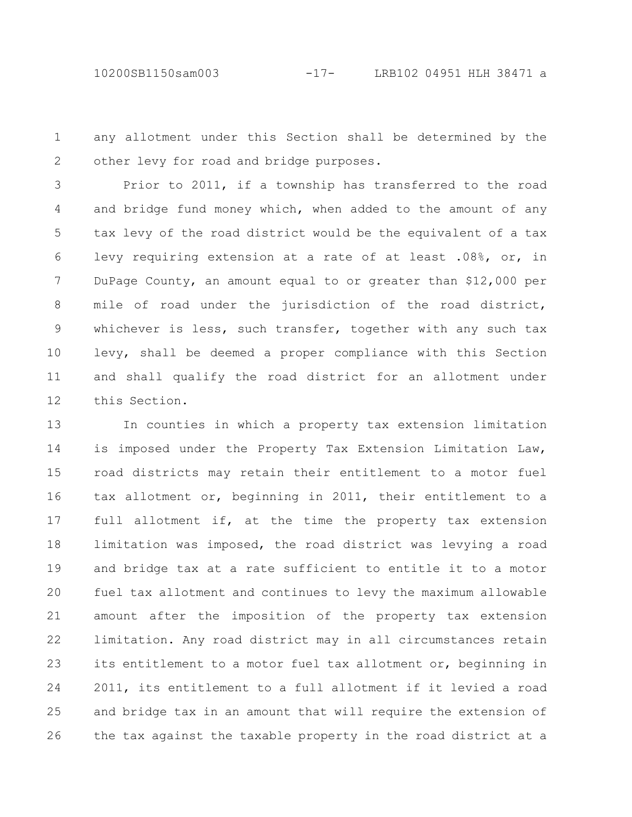10200SB1150sam003 -17- LRB102 04951 HLH 38471 a

any allotment under this Section shall be determined by the other levy for road and bridge purposes. 1 2

Prior to 2011, if a township has transferred to the road and bridge fund money which, when added to the amount of any tax levy of the road district would be the equivalent of a tax levy requiring extension at a rate of at least .08%, or, in DuPage County, an amount equal to or greater than \$12,000 per mile of road under the jurisdiction of the road district, whichever is less, such transfer, together with any such tax levy, shall be deemed a proper compliance with this Section and shall qualify the road district for an allotment under this Section. 3 4 5 6 7 8 9 10 11 12

In counties in which a property tax extension limitation is imposed under the Property Tax Extension Limitation Law, road districts may retain their entitlement to a motor fuel tax allotment or, beginning in 2011, their entitlement to a full allotment if, at the time the property tax extension limitation was imposed, the road district was levying a road and bridge tax at a rate sufficient to entitle it to a motor fuel tax allotment and continues to levy the maximum allowable amount after the imposition of the property tax extension limitation. Any road district may in all circumstances retain its entitlement to a motor fuel tax allotment or, beginning in 2011, its entitlement to a full allotment if it levied a road and bridge tax in an amount that will require the extension of the tax against the taxable property in the road district at a 13 14 15 16 17 18 19 20 21 22 23 24 25 26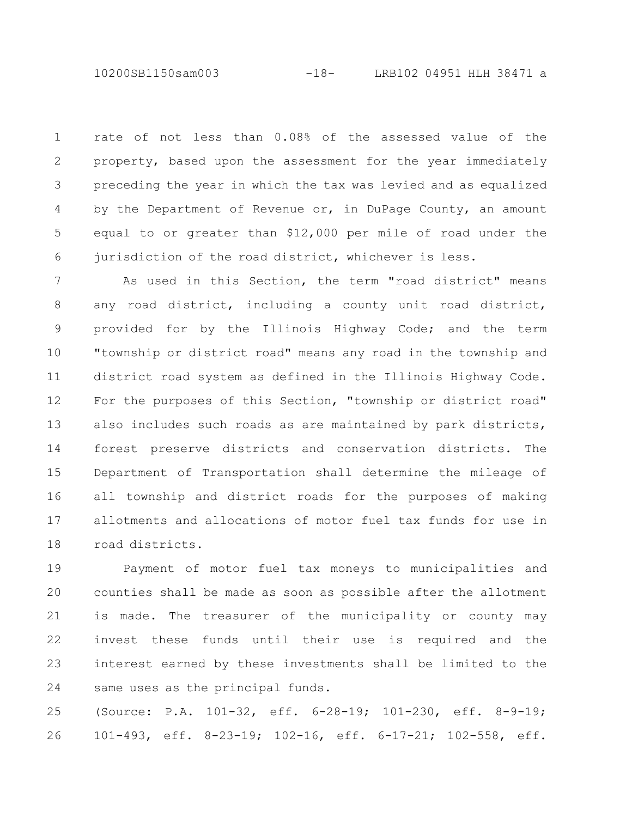10200SB1150sam003 -18- LRB102 04951 HLH 38471 a

rate of not less than 0.08% of the assessed value of the property, based upon the assessment for the year immediately preceding the year in which the tax was levied and as equalized by the Department of Revenue or, in DuPage County, an amount equal to or greater than \$12,000 per mile of road under the jurisdiction of the road district, whichever is less. 1 2 3 4 5 6

As used in this Section, the term "road district" means any road district, including a county unit road district, provided for by the Illinois Highway Code; and the term "township or district road" means any road in the township and district road system as defined in the Illinois Highway Code. For the purposes of this Section, "township or district road" also includes such roads as are maintained by park districts, forest preserve districts and conservation districts. The Department of Transportation shall determine the mileage of all township and district roads for the purposes of making allotments and allocations of motor fuel tax funds for use in road districts. 7 8 9 10 11 12 13 14 15 16 17 18

Payment of motor fuel tax moneys to municipalities and counties shall be made as soon as possible after the allotment is made. The treasurer of the municipality or county may invest these funds until their use is required and the interest earned by these investments shall be limited to the same uses as the principal funds. 19 20 21 22 23 24

(Source: P.A. 101-32, eff. 6-28-19; 101-230, eff. 8-9-19; 101-493, eff. 8-23-19; 102-16, eff. 6-17-21; 102-558, eff. 25 26